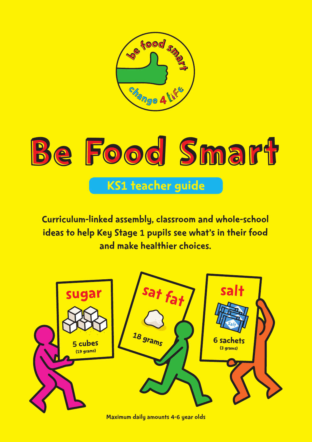

# Be Food Smart KS1 teacher guide

Curriculum-linked assembly, classroom and whole-school ideas to help Key Stage 1 pupils see what's in their food and make healthier choices.



Maximum daily amounts 4-6 year olds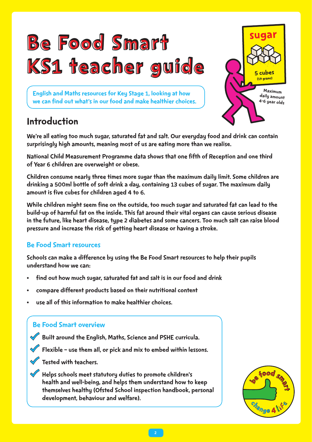

English and Maths resources for Key Stage 1, looking at how we can find out what's in our food and make healthier choices.

## Introduction

We're all eating too much sugar, saturated fat and salt. Our everyday food and drink can contain surprisingly high amounts, meaning most of us are eating more than we realise.

National Child Measurement Programme data shows that one fifth of Reception and one third of Year 6 children are overweight or obese.

Children consume nearly three times more sugar than the maximum daily limit. Some children are drinking a 500ml bottle of soft drink a day, containing 13 cubes of sugar. The maximum daily amount is five cubes for children aged 4 to 6.

While children might seem fine on the outside, too much sugar and saturated fat can lead to the build-up of harmful fat on the inside. This fat around their vital organs can cause serious disease in the future, like heart disease, type 2 diabetes and some cancers. Too much salt can raise blood pressure and increase the risk of getting heart disease or having a stroke.

#### Be Food Smart resources

Schools can make a difference by using the Be Food Smart resources to help their pupils understand how we can:

- find out how much sugar, saturated fat and salt is in our food and drink
- compare different products based on their nutritional content
- use all of this information to make healthier choices.

#### Be Food Smart overview

 $\blacklozenge$  Built around the English, Maths, Science and PSHE curricula.

• Flexible – use them all, or pick and mix to embed within lessons.

 $\sqrt{\phantom{a}}$  Tested with teachers.

• Helps schools meet statutory duties to promote children's health and well-being, and helps them understand how to keep themselves healthy (Ofsted School inspection handbook, personal development, behaviour and welfare).



Maximum daily amount 4-6 year olds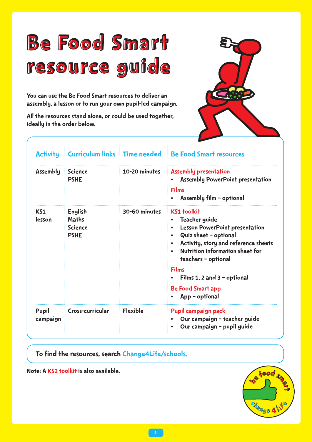# Be Food Smart resource guide

You can use the Be Food Smart resources to deliver an assembly, a lesson or to run your own pupil-led campaign.

All the resources stand alone, or could be used together, ideally in the order below.



| <b>Activity</b>   | <b>Curriculum links Time needed</b>                      |                 | <b>Be Food Smart resources</b>                                                                                                                                                                                                                                                                                                                              |
|-------------------|----------------------------------------------------------|-----------------|-------------------------------------------------------------------------------------------------------------------------------------------------------------------------------------------------------------------------------------------------------------------------------------------------------------------------------------------------------------|
| <b>Assembly</b>   | <b>Science</b><br><b>PSHE</b>                            | 10-20 minutes   | <b>Assembly presentation</b><br><b>Assembly PowerPoint presentation</b><br><b>Films</b><br>Assembly film - optional                                                                                                                                                                                                                                         |
| KS1<br>lesson     | English<br><b>Maths</b><br><b>Science</b><br><b>PSHE</b> | 30-60 minutes   | <b>KS1 toolkit</b><br><b>Teacher guide</b><br><b>Lesson PowerPoint presentation</b><br>$\bullet$<br>Quiz sheet - optional<br>$\bullet$<br>Activity, story and reference sheets<br>$\bullet$<br><b>Nutrition information sheet for</b><br>teachers - optional<br><b>Films</b><br>Films 1, 2 and $3$ – optional<br><b>Be Food Smart app</b><br>App - optional |
| Pupil<br>campaign | Cross-curricular                                         | <b>Flexible</b> | Pupil campaign pack<br>Our campaign - teacher guide<br>Our campaign - pupil guide                                                                                                                                                                                                                                                                           |

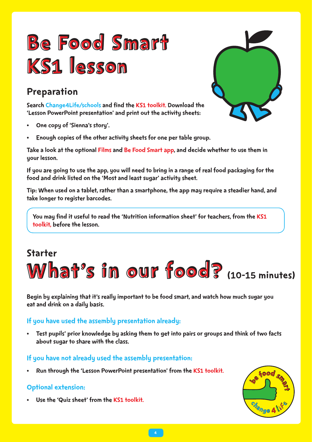# Be Food Smart KS1 lesson

Search Change4Life/schools and find the KS1 toolkit. Download the 'Lesson PowerPoint presentation' and print out the activity sheets:

- One copy of 'Sienna's story'.
- Enough copies of the other activity sheets for one per table group.

Take a look at the optional Films and Be Food Smart app, and decide whether to use them in your lesson.

If you are going to use the app, you will need to bring in a range of real food packaging for the food and drink listed on the 'Most and least sugar' activity sheet.

Tip: When used on a tablet, rather than a smartphone, the app may require a steadier hand, and take longer to register barcodes.

You may find it useful to read the 'Nutrition information sheet' for teachers, from the KS1 toolkit, before the lesson.

# **Preparation**<br>
Starton ChangesLife Acchools and find the KS1 toolkit, Download the<br>
Classion PowerPoint presentation' and print out the activity sheets<br>
Classical configuration' and print out the activity sheets<br>
STAR a lo What's in our food? (10-15 minutes) Starter

Begin by explaining that it's really important to be food smart, and watch how much sugar you eat and drink on a daily basis.

#### If you have used the assembly presentation already:

• Test pupils' prior knowledge by asking them to get into pairs or groups and think of two facts about sugar to share with the class.

#### If you have not already used the assembly presentation:

• Run through the 'Lesson PowerPoint presentation' from the KS1 toolkit.

#### Optional extension:

Use the 'Quiz sheet' from the KS1 toolkit.



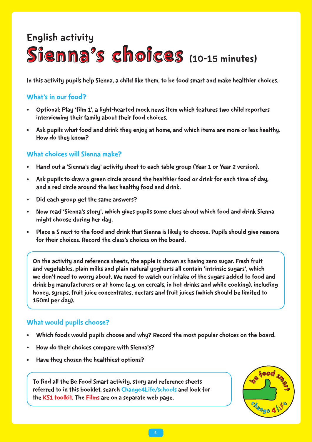## Sienna's choices (10-15 minutes) English activity

#### What's in our food?

- Optional: Play 'film 1', a light-hearted mock news item which features two child reporters interviewing their family about their food choices.
- Ask pupils what food and drink they enjoy at home, and which items are more or less healthy. How do they know?

#### What choices will Sienna make?

- Hand out a 'Sienna's day' activity sheet to each table group (Year 1 or Year 2 version).
- Ask pupils to draw a green circle around the healthier food or drink for each time of day, and a red circle around the less healthy food and drink.
- Did each group get the same answers?
- Now read 'Sienna's story', which gives pupils some clues about which food and drink Sienna might choose during her day.
- Place a S next to the food and drink that Sienna is likely to choose. Pupils should give reasons for their choices. Record the class's choices on the board.

In this activity pupils help Sienna, a child like them, to be food smart and make healthier choices.<br>
Vhat's in our food?<br>
Caption which features them which features two child reporters<br>
chirendering their family about the On the activity and reference sheets, the apple is shown as having zero sugar. Fresh fruit and vegetables, plain milks and plain natural yoghurts all contain 'intrinsic sugars', which we don't need to worry about. We need to watch our intake of the sugars added to food and drink by manufacturers or at home (e.g. on cereals, in hot drinks and while cooking), including honey, syrups, fruit juice concentrates, nectars and fruit juices (which should be limited to 150ml per day).

#### What would pupils choose?

- Which foods would pupils choose and why? Record the most popular choices on the board.
- How do their choices compare with Sienna's?
- Have they chosen the healthiest options?

To find all the Be Food Smart activity, story and reference sheets referred to in this booklet, search Change4Life/schools and look for the KS1 toolkit. The Films are on a separate web page.

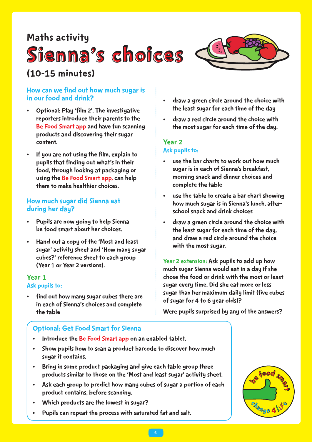### Maths activity

## Sienna's choices

## (10-15 minutes)



- Optional: Play 'film 2'. The investigative reporters introduce their parents to the Be Food Smart app and have fun scanning products and discovering their sugar content.
- If you are not using the film, explain to pupils that finding out what's in their food, through looking at packaging or using the Be Food Smart app, can help them to make healthier choices.

#### How much sugar did Sienna eat during her day?

- Pupils are now going to help Sienna be food smart about her choices.
- Hand out a copy of the 'Most and least sugar' activity sheet and 'How many sugar cubes?' reference sheet to each group (Year 1 or Year 2 versions).

#### Year 1 Ask pupils to:

find out how many sugar cubes there are in each of Sienna's choices and complete the table

- Introduce the Be Food Smart app on an enabled tablet.
- Show pupils how to scan a product barcode to discover how much sugar it contains.
- optional: Get Food Smart for Sienna<br>
 Introduce the Be Food Smart app on an enabled tablet.<br>
 Show pupils how to scan a product barcode to discover how much<br>
sugar it contains.<br>
 Bring in some product packaging and give • Bring in some product packaging and give each table group three products similar to those on the 'Most and least sugar' activity sheet.
- Ask each group to predict how many cubes of sugar a portion of each product contains, before scanning.
- Which products are the lowest in sugar?
- Pupils can repeat the process with saturated fat and salt.
- draw a green circle around the choice with the least sugar for each time of the day
- draw a red circle around the choice with the most sugar for each time of the day.

#### Year 2

#### Ask pupils to:

- use the bar charts to work out how much sugar is in each of Sienna's breakfast, morning snack and dinner choices and complete the table
- use the table to create a bar chart showing how much sugar is in Sienna's lunch, afterschool snack and drink choices
- draw a green circle around the choice with the least sugar for each time of the day, and draw a red circle around the choice with the most sugar.

Year 2 extension: Ask pupils to add up how much sugar Sienna would eat in a day if she chose the food or drink with the most or least sugar every time. Did she eat more or less sugar than her maximum daily limit (five cubes of sugar for 4 to 6 year olds)?

Were pupils surprised by any of the answers?

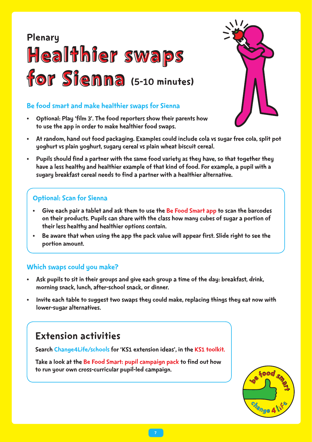## Healthier swaps for Sienna (5-10 minutes) Plenary

• Optional: Play 'film 3'. The food reporters show their parents how to use the app in order to make healthier food swaps.



- At random, hand out food packaging. Examples could include cola vs sugar free cola, split pot yoghurt vs plain yoghurt, sugary cereal vs plain wheat biscuit cereal.
- Be food smart and make healthier swaps for Sienna<br>
to prional: Play thin 3: The food reporters show their parents how<br>
to use the app in order to make healther food swaps.<br>
At random, hand out food packaging. Examples cou • Pupils should find a partner with the same food variety as they have, so that together they have a less healthy and healthier example of that kind of food. For example, a pupil with a sugary breakfast cereal needs to find a partner with a healthier alternative.

#### Optional: Scan for Sienna

- Give each pair a tablet and ask them to use the Be Food Smart app to scan the barcodes on their products. Pupils can share with the class how many cubes of sugar a portion of their less healthy and healthier options contain.
- Be aware that when using the app the pack value will appear first. Slide right to see the portion amount.

#### Which swaps could you make?

- Ask pupils to sit in their groups and give each group a time of the day: breakfast, drink, morning snack, lunch, after-school snack, or dinner.
- Invite each table to suggest two swaps they could make, replacing things they eat now with lower-sugar alternatives.

## Extension activities

Search Change4Life/schools for 'KS1 extension ideas', in the KS1 toolkit.

Take a look at the Be Food Smart: pupil campaign pack to find out how to run your own cross-curricular pupil-led campaign.